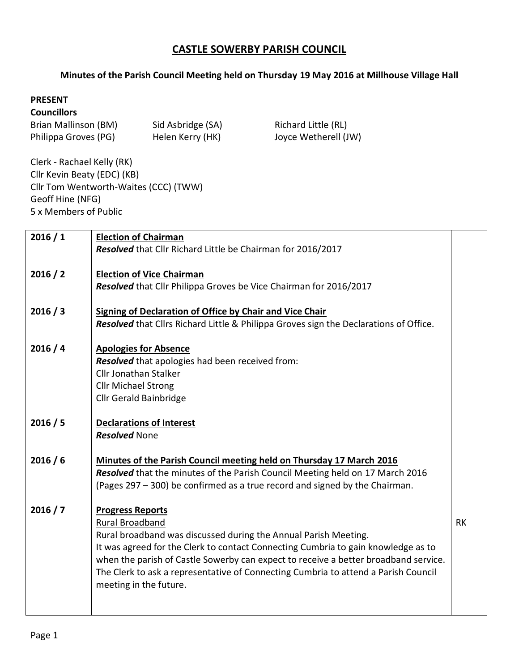## **CASTLE SOWERBY PARISH COUNCIL**

## **Minutes of the Parish Council Meeting held on Thursday 19 May 2016 at Millhouse Village Hall**

## **PRESENT**

## **Councillors**

| Brian Mallinson (BM) | Sid Asbridge (SA) |
|----------------------|-------------------|
| Philippa Groves (PG) | Helen Kerry (HK)  |

Richard Little (RL) Joyce Wetherell (JW)

Clerk - Rachael Kelly (RK) Cllr Kevin Beaty (EDC) (KB) Cllr Tom Wentworth-Waites (CCC) (TWW) Geoff Hine (NFG) 5 x Members of Public

| 2016/1   | <b>Election of Chairman</b>                                                           |           |  |  |
|----------|---------------------------------------------------------------------------------------|-----------|--|--|
|          | Resolved that Cllr Richard Little be Chairman for 2016/2017                           |           |  |  |
|          |                                                                                       |           |  |  |
| 2016 / 2 | <b>Election of Vice Chairman</b>                                                      |           |  |  |
|          |                                                                                       |           |  |  |
|          | Resolved that Cllr Philippa Groves be Vice Chairman for 2016/2017                     |           |  |  |
|          |                                                                                       |           |  |  |
| 2016 / 3 | <b>Signing of Declaration of Office by Chair and Vice Chair</b>                       |           |  |  |
|          | Resolved that Cllrs Richard Little & Philippa Groves sign the Declarations of Office. |           |  |  |
|          |                                                                                       |           |  |  |
| 2016/4   | <b>Apologies for Absence</b>                                                          |           |  |  |
|          | Resolved that apologies had been received from:                                       |           |  |  |
|          | <b>Cllr Jonathan Stalker</b>                                                          |           |  |  |
|          |                                                                                       |           |  |  |
|          | <b>Cllr Michael Strong</b>                                                            |           |  |  |
|          | <b>Cllr Gerald Bainbridge</b>                                                         |           |  |  |
|          |                                                                                       |           |  |  |
| 2016 / 5 | <b>Declarations of Interest</b>                                                       |           |  |  |
|          | <b>Resolved None</b>                                                                  |           |  |  |
|          |                                                                                       |           |  |  |
| 2016/6   |                                                                                       |           |  |  |
|          | Minutes of the Parish Council meeting held on Thursday 17 March 2016                  |           |  |  |
|          | Resolved that the minutes of the Parish Council Meeting held on 17 March 2016         |           |  |  |
|          | (Pages 297 – 300) be confirmed as a true record and signed by the Chairman.           |           |  |  |
|          |                                                                                       |           |  |  |
| 2016 / 7 | <b>Progress Reports</b>                                                               |           |  |  |
|          | Rural Broadband                                                                       | <b>RK</b> |  |  |
|          | Rural broadband was discussed during the Annual Parish Meeting.                       |           |  |  |
|          | It was agreed for the Clerk to contact Connecting Cumbria to gain knowledge as to     |           |  |  |
|          |                                                                                       |           |  |  |
|          | when the parish of Castle Sowerby can expect to receive a better broadband service.   |           |  |  |
|          | The Clerk to ask a representative of Connecting Cumbria to attend a Parish Council    |           |  |  |
|          | meeting in the future.                                                                |           |  |  |
|          |                                                                                       |           |  |  |
|          |                                                                                       |           |  |  |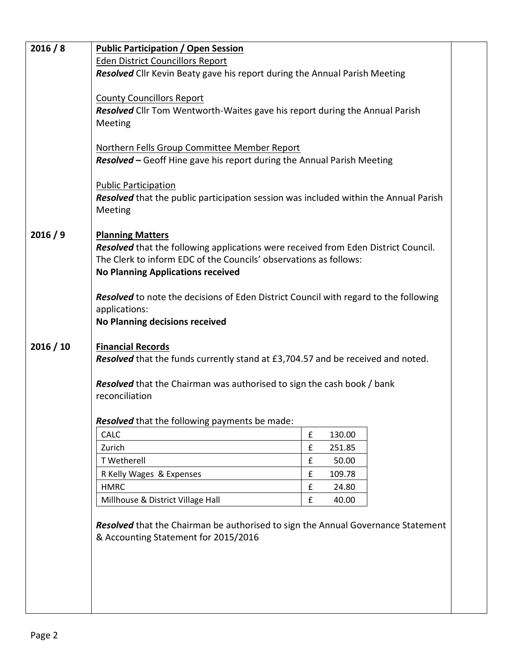| 2016 / 8  | <b>Public Participation / Open Session</b>                                                                             |        |                  |  |  |
|-----------|------------------------------------------------------------------------------------------------------------------------|--------|------------------|--|--|
|           | <b>Eden District Councillors Report</b>                                                                                |        |                  |  |  |
|           | Resolved Cllr Kevin Beaty gave his report during the Annual Parish Meeting                                             |        |                  |  |  |
|           |                                                                                                                        |        |                  |  |  |
|           | <b>County Councillors Report</b>                                                                                       |        |                  |  |  |
|           | Resolved Cllr Tom Wentworth-Waites gave his report during the Annual Parish                                            |        |                  |  |  |
|           | Meeting                                                                                                                |        |                  |  |  |
|           |                                                                                                                        |        |                  |  |  |
|           | Northern Fells Group Committee Member Report<br>Resolved - Geoff Hine gave his report during the Annual Parish Meeting |        |                  |  |  |
|           |                                                                                                                        |        |                  |  |  |
|           | <b>Public Participation</b>                                                                                            |        |                  |  |  |
|           | <b>Resolved</b> that the public participation session was included within the Annual Parish                            |        |                  |  |  |
|           | Meeting                                                                                                                |        |                  |  |  |
|           |                                                                                                                        |        |                  |  |  |
| 2016/9    | <b>Planning Matters</b>                                                                                                |        |                  |  |  |
|           | Resolved that the following applications were received from Eden District Council.                                     |        |                  |  |  |
|           | The Clerk to inform EDC of the Councils' observations as follows:                                                      |        |                  |  |  |
|           | <b>No Planning Applications received</b>                                                                               |        |                  |  |  |
|           |                                                                                                                        |        |                  |  |  |
|           | <b>Resolved</b> to note the decisions of Eden District Council with regard to the following<br>applications:           |        |                  |  |  |
|           | <b>No Planning decisions received</b>                                                                                  |        |                  |  |  |
|           |                                                                                                                        |        |                  |  |  |
| 2016 / 10 | <b>Financial Records</b>                                                                                               |        |                  |  |  |
|           | Resolved that the funds currently stand at £3,704.57 and be received and noted.                                        |        |                  |  |  |
|           |                                                                                                                        |        |                  |  |  |
|           | <b>Resolved</b> that the Chairman was authorised to sign the cash book / bank                                          |        |                  |  |  |
|           | reconciliation                                                                                                         |        |                  |  |  |
|           |                                                                                                                        |        |                  |  |  |
|           | Resolved that the following payments be made:<br><b>CALC</b>                                                           |        |                  |  |  |
|           | Zurich                                                                                                                 | £<br>£ | 130.00<br>251.85 |  |  |
|           | T Wetherell                                                                                                            | £      | 50.00            |  |  |
|           | R Kelly Wages & Expenses                                                                                               | £      | 109.78           |  |  |
|           | <b>HMRC</b>                                                                                                            | £      | 24.80            |  |  |
|           | Millhouse & District Village Hall                                                                                      | £      | 40.00            |  |  |
|           |                                                                                                                        |        |                  |  |  |
|           | Resolved that the Chairman be authorised to sign the Annual Governance Statement                                       |        |                  |  |  |
|           | & Accounting Statement for 2015/2016                                                                                   |        |                  |  |  |
|           |                                                                                                                        |        |                  |  |  |
|           |                                                                                                                        |        |                  |  |  |
|           |                                                                                                                        |        |                  |  |  |
|           |                                                                                                                        |        |                  |  |  |
|           |                                                                                                                        |        |                  |  |  |